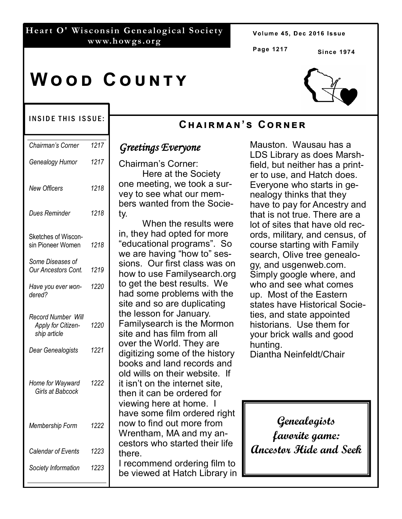### **Hear t O' Wisconsin Genealogical Society www.howgs.org**

Volume 45, Dec 2016 Issue

**Page 1217**

CHAIRMAN'S CORNER

**Si nce 1974**

# **WOOD COUNTY**

### INSIDE THIS ISSUE:

| Chairman's Corner                                               | 1217 |
|-----------------------------------------------------------------|------|
| Genealogy Humor                                                 | 1217 |
| <b>New Officers</b>                                             | 1218 |
| Dues Reminder                                                   | 1218 |
| Sketches of Wiscon-<br>sin Pioneer Women                        | 1218 |
| Some Diseases of<br><b>Our Ancestors Cont.</b>                  | 1219 |
| Have you ever won-<br>dered?                                    | 1220 |
| <b>Record Number Will</b><br>Apply for Citizen-<br>ship article | 1220 |
| Dear Genealogists                                               | 1221 |
| Home for Wayward<br>Girls at Babcock                            | 1222 |
| Membership Form                                                 | 1222 |
| Calendar of Events                                              | 1223 |
| Society Information                                             | 1223 |

## *Greetings Everyone*

Chairman's Corner: Here at the Society one meeting, we took a survey to see what our members wanted from the Society.

When the results were in, they had opted for more "educational programs". So we are having "how to" sessions. Our first class was on how to use Familysearch.org to get the best results. We had some problems with the site and so are duplicating the lesson for January. Familysearch is the Mormon site and has film from all over the World. They are digitizing some of the history books and land records and old wills on their website. If it isn't on the internet site, then it can be ordered for viewing here at home. I have some film ordered right now to find out more from Wrentham, MA and my ancestors who started their life there.

I recommend ordering film to be viewed at Hatch Library in



Mauston. Wausau has a LDS Library as does Marshfield, but neither has a printer to use, and Hatch does. Everyone who starts in genealogy thinks that they have to pay for Ancestry and that is not true. There are a lot of sites that have old records, military, and census, of course starting with Family search, Olive tree genealogy, and usgenweb.com. Simply google where, and who and see what comes up. Most of the Eastern states have Historical Societies, and state appointed historians. Use them for your brick walls and good

Diantha Neinfeldt/Chair

hunting.

**Genealogists favorite game: Ancestor Hide and Seek**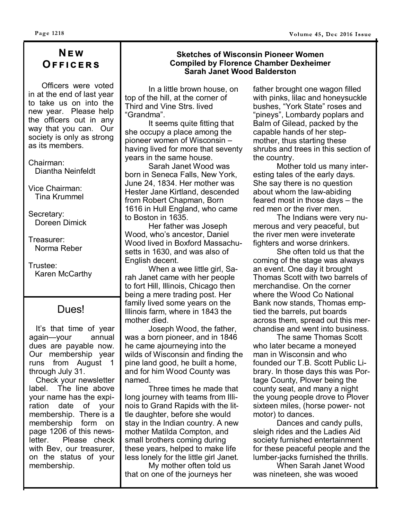# **NEW OFFICERS**

 Officers were voted in at the end of last year to take us on into the new year. Please help the officers out in any way that you can. Our society is only as strong as its members.

Chairman: Diantha Neinfeldt

Vice Chairman: Tina Krummel

Secretary: Doreen Dimick

Treasurer: Norma Reber

Trustee: Karen McCarthy

# Dues!

 It's that time of year again—your annual dues are payable now. Our membership year runs from August 1 through July 31.

 Check your newsletter label. The line above your name has the expiration date of your membership. There is a membership form on page 1206 of this news-Please check with Bev, our treasurer, on the status of your membership.

### **Sketches of Wisconsin Pioneer Women Compiled by Florence Chamber Dexheimer Sarah Janet Wood Balderston**

In a little brown house, on top of the hill, at the corner of Third and Vine Strs. lived "Grandma".

It seems quite fitting that she occupy a place among the pioneer women of Wisconsin – having lived for more that seventy years in the same house.

Sarah Janet Wood was born in Seneca Falls, New York, June 24, 1834. Her mother was Hester Jane Kirtland, descended from Robert Chapman, Born 1616 in Hull England, who came to Boston in 1635.

Her father was Joseph Wood, who's ancestor, Daniel Wood lived in Boxford Massachusetts in 1630, and was also of English decent.

When a wee little girl, Sarah Janet came with her people to fort Hill, Illinois, Chicago then being a mere trading post. Her family lived some years on the Illinois farm, where in 1843 the mother died.

Joseph Wood, the father, was a born pioneer, and in 1846 he came ajourneying into the wilds of Wisconsin and finding the pine land good, he built a home, and for him Wood County was named.

Three times he made that long journey with teams from Illinois to Grand Rapids with the little daughter, before she would stay in the Indian country. A new mother Matilda Compton, and small brothers coming during these years, helped to make life less lonely for the little girl Janet.

My mother often told us that on one of the journeys her

father brought one wagon filled with pinks, lilac and honeysuckle bushes, "York State" roses and "pineys", Lombardy poplars and Balm of Gilead, packed by the capable hands of her stepmother, thus starting these shrubs and trees in this section of the country.

Mother told us many interesting tales of the early days. She say there is no question about whom the law-abiding feared most in those days – the red men or the river men.

The Indians were very numerous and very peaceful, but the river men were inveterate fighters and worse drinkers.

She often told us that the coming of the stage was always an event. One day it brought Thomas Scott with two barrels of merchandise. On the corner where the Wood Co National Bank now stands, Thomas emptied the barrels, put boards across them, spread out this merchandise and went into business.

The same Thomas Scott who later became a moneyed man in Wisconsin and who founded our T.B. Scott Public Library. In those days this was Portage County, Plover being the county seat, and many a night the young people drove to Plover sixteen miles, (horse power- not motor) to dances.

Dances and candy pulls, sleigh rides and the Ladies Aid society furnished entertainment for these peaceful people and the lumber-jacks furnished the thrills.

When Sarah Janet Wood was nineteen, she was wooed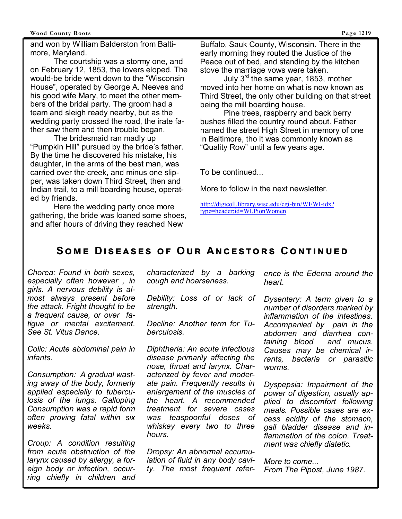#### **Wood County Roots Page 1219**

and won by William Balderston from Baltimore, Maryland.

The courtship was a stormy one, and on February 12, 1853, the lovers eloped. The would-be bride went down to the "Wisconsin House", operated by George A. Neeves and his good wife Mary, to meet the other members of the bridal party. The groom had a team and sleigh ready nearby, but as the wedding party crossed the road, the irate father saw them and then trouble began.

The bridesmaid ran madly up "Pumpkin Hill" pursued by the bride's father. By the time he discovered his mistake, his daughter, in the arms of the best man, was carried over the creek, and minus one slipper, was taken down Third Street, then and Indian trail, to a mill boarding house, operated by friends.

Here the wedding party once more gathering, the bride was loaned some shoes, and after hours of driving they reached New

Buffalo, Sauk County, Wisconsin. There in the early morning they routed the Justice of the Peace out of bed, and standing by the kitchen stove the marriage vows were taken.

July  $3<sup>rd</sup>$  the same year, 1853, mother moved into her home on what is now known as Third Street, the only other building on that street being the mill boarding house.

Pine trees, raspberry and back berry bushes filled the country round about. Father named the street High Street in memory of one in Baltimore, tho it was commonly known as "Quality Row" until a few years age.

To be continued...

More to follow in the next newsletter.

http://digicoll.library.wisc.edu/cgi-bin/WI/WI-idx? type=header;id=WI.PionWomen

# **SOME DISEASES OF OUR ANCESTORS CONTINUED**

*Chorea: Found in both sexes, especially often however , in girls. A nervous debility is almost always present before the attack. Fright thought to be a frequent cause, or over fatigue or mental excitement. See St. Vitus Dance.*

*Colic: Acute abdominal pain in infants.* 

*Consumption: A gradual wasting away of the body, formerly applied especially to tuberculosis of the lungs. Galloping Consumption was a rapid form often proving fatal within six weeks.* 

*Croup: A condition resulting from acute obstruction of the larynx caused by allergy, a foreign body or infection, occurring chiefly in children and*  *characterized by a barking cough and hoarseness.* 

*Debility: Loss of or lack of strength.*

*Decline: Another term for Tuberculosis.* 

*Diphtheria: An acute infectious disease primarily affecting the nose, throat and larynx. Characterized by fever and moderate pain. Frequently results in enlargement of the muscles of the heart. A recommended treatment for severe cases was teaspoonful doses of whiskey every two to three hours.* 

*Dropsy: An abnormal accumulation of fluid in any body cavity. The most frequent refer-* *ence is the Edema around the heart.* 

*Dysentery: A term given to a number of disorders marked by inflammation of the intestines. Accompanied by pain in the abdomen and diarrhea containing blood and mucus. Causes may be chemical irrants, bacteria or parasitic worms.* 

*Dyspepsia: Impairment of the power of digestion, usually applied to discomfort following meals. Possible cases are excess acidity of the stomach, gall bladder disease and inflammation of the colon. Treatment was chiefly diatetic.* 

*More to come... From The Pipost, June 1987.*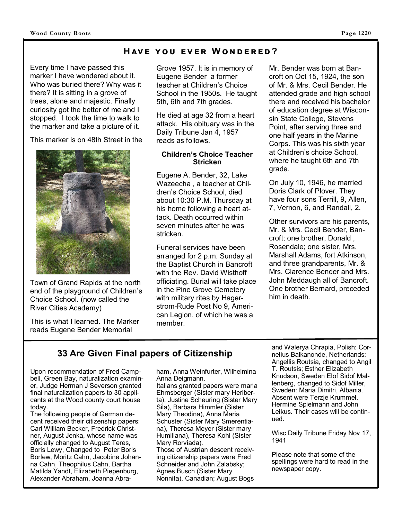### **HAVE YOU EVER WONDERED?**

Every time I have passed this marker I have wondered about it. Who was buried there? Why was it there? It is sitting in a grove of trees, alone and majestic. Finally curiosity got the better of me and I stopped. I took the time to walk to the marker and take a picture of it.

This marker is on 48th Street in the



Town of Grand Rapids at the north end of the playground of Children's Choice School. (now called the River Cities Academy)

This is what I learned. The Marker reads Eugene Bender Memorial

Grove 1957. It is in memory of Eugene Bender a former teacher at Children's Choice School in the 1950s. He taught 5th, 6th and 7th grades.

He died at age 32 from a heart attack. His obituary was in the Daily Tribune Jan 4, 1957 reads as follows.

### **Children's Choice Teacher Stricken**

Eugene A. Bender, 32, Lake Wazeecha , a teacher at Children's Choice School, died about 10:30 P.M. Thursday at his home following a heart attack. Death occurred within seven minutes after he was stricken.

Funeral services have been arranged for 2 p.m. Sunday at the Baptist Church in Bancroft with the Rev. David Wisthoff officiating. Burial will take place in the Pine Grove Cemetery with military rites by Hagerstrom-Rude Post No 9, American Legion, of which he was a member.

Mr. Bender was born at Bancroft on Oct 15, 1924, the son of Mr. & Mrs. Cecil Bender. He attended grade and high school there and received his bachelor of education degree at Wisconsin State College, Stevens Point, after serving three and one half years in the Marine Corps. This was his sixth year at Children's choice School, where he taught 6th and 7th grade.

On July 10, 1946, he married Doris Clark of Plover. They have four sons Terrill, 9, Allen, 7, Vernon, 6, and Randall, 2.

Other survivors are his parents, Mr. & Mrs. Cecil Bender, Bancroft; one brother, Donald , Rosendale; one sister, Mrs. Marshall Adams, fort Atkinson, and three grandparents, Mr. & Mrs. Clarence Bender and Mrs. John Meddaugh all of Bancroft. One brother Bernard, preceded him in death.

# **33 Are Given Final papers of Citizenship**

Upon recommendation of Fred Campbell, Green Bay, naturalization examiner, Judge Herman J Severson granted final naturalization papers to 30 applicants at the Wood county court house today.

The following people of German decent received their citizenship papers: Carl William Becker, Fredrick Christner, August Jenka, whose name was officially changed to August Teres, Boris Lewy, Changed to Peter Boris Borlew, Moritz Cahn, Jacobine Johanna Cahn, Theophilus Cahn, Bartha Matilda Yandt, Elizabeth Piepenburg, Alexander Abraham, Joanna Abraham, Anna Weinfurter, Wilhelmina Anna Deigmann.

Italians granted papers were maria Ehrnsberger (Sister mary Heriberta), Justine Scheuring (Sister Mary Sila), Barbara Himmler (Sister Mary Theodina), Anna Maria Schuster (Sister Mary Smerentiana), Theresa Meyer (Sister mary Humiliana), Theresa Kohl (Sister Mary Rorviada). Those of Austrian descent receiving citizenship papers were Fred Schneider and John Zalabsky; Agnes Busch (Sister Mary Nonnita), Canadian; August Bogs

and Walerya Chrapia, Polish: Cornelius Balkanonde, Netherlands: Angellis Routsia, changed to Angil T. Routsis; Esther Elizabeth Knudson, Sweden Elof Sidof Mallenberg, changed to Sidof Miller, Sweden: Maria Dimitri, Albania. Absent were Terzje Krummel, Hermine Spielmann and John Leikus. Their cases will be continued.

Wisc Daily Tribune Friday Nov 17, 1941

Please note that some of the spellings were hard to read in the newspaper copy.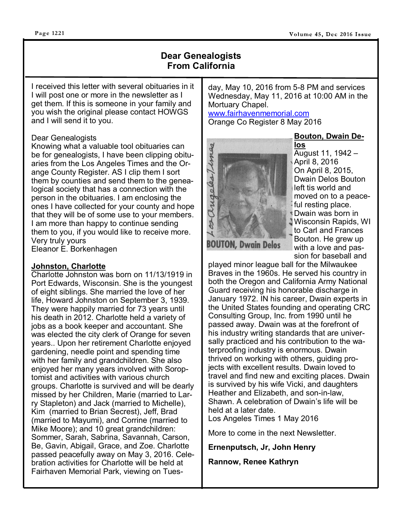#### **Page 1221**

### **Dear Genealogists From California**

I received this letter with several obituaries in it I will post one or more in the newsletter as I get them. If this is someone in your family and you wish the original please contact HOWGS and I will send it to you.

#### Dear Genealogists

Knowing what a valuable tool obituaries can be for genealogists, I have been clipping obituaries from the Los Angeles Times and the Orange County Register. AS I clip them I sort them by counties and send them to the genealogical society that has a connection with the person in the obituaries. I am enclosing the ones I have collected for your county and hope that they will be of some use to your members. I am more than happy to continue sending them to you, if you would like to receive more. Very truly yours Eleanor E. Borkenhagen

### **Johnston, Charlotte**

Charlotte Johnston was born on 11/13/1919 in Port Edwards, Wisconsin. She is the youngest of eight siblings. She married the love of her life, Howard Johnston on September 3, 1939. They were happily married for 73 years until his death in 2012. Charlotte held a variety of jobs as a book keeper and accountant. She was elected the city clerk of Orange for seven years.. Upon her retirement Charlotte enjoyed gardening, needle point and spending time with her family and grandchildren. She also enjoyed her many years involved with Soroptomist and activities with various church groups. Charlotte is survived and will be dearly missed by her Children, Marie (married to Larry Stapleton) and Jack (married to Michelle), Kim (married to Brian Secrest), Jeff, Brad (married to Mayumi), and Corrine (married to Mike Moore); and 10 great grandchildren: Sommer, Sarah, Sabrina, Savannah, Carson, Be, Gavin, Abigail, Grace, and Zoe. Charlotte passed peacefully away on May 3, 2016. Celebration activities for Charlotte will be held at Fairhaven Memorial Park, viewing on Tuesday, May 10, 2016 from 5-8 PM and services Wednesday, May 11, 2016 at 10:00 AM in the Mortuary Chapel.

#### www.fairhavenmemorial.com Orange Co Register 8 May 2016



**los**  August 11, 1942 – April 8, 2016 On April 8, 2015, Dwain Delos Bouton left tis world and moved on to a peaceful resting place. Dwain was born in Wisconsin Rapids, WI to Carl and Frances Bouton. He grew up with a love and passion for baseball and

**Bouton, Dwain De-**

played minor league ball for the Milwaukee Braves in the 1960s. He served his country in both the Oregon and California Army National Guard receiving his honorable discharge in January 1972. IN his career, Dwain experts in the United States founding and operating CRC Consulting Group, Inc. from 1990 until he passed away. Dwain was at the forefront of his industry writing standards that are universally practiced and his contribution to the waterproofing industry is enormous. Dwain thrived on working with others, guiding projects with excellent results. Dwain loved to travel and find new and exciting places. Dwain is survived by his wife Vicki, and daughters Heather and Elizabeth, and son-in-law, Shawn. A celebration of Dwain's life will be held at a later date. Los Angeles Times 1 May 2016

More to come in the next Newsletter.

**Ernenputsch, Jr, John Henry**

**Rannow, Renee Kathryn**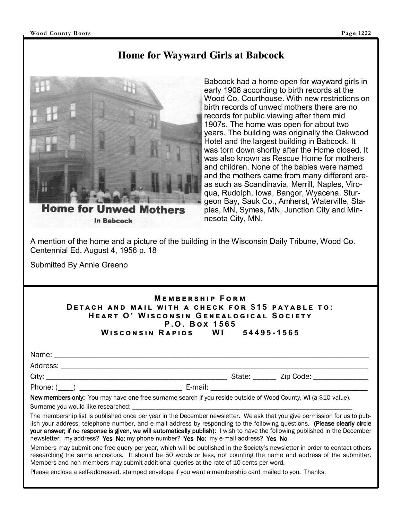# **Home for Wayward Girls at Babcock**



**Home for Unwed Mothers In Babcock** 

Babcock had a home open for wayward girls in early 1906 according to birth records at the Wood Co. Courthouse. With new restrictions on birth records of unwed mothers there are no records for public viewing after them mid 1907s. The home was open for about two years. The building was originally the Oakwood Hotel and the largest building in Babcock. It was torn down shortly after the Home closed. It was also known as Rescue Home for mothers and children. None of the babies were named and the mothers came from many different areas such as Scandinavia, Merrill, Naples, Viroqua, Rudolph, Iowa, Bangor, Wyacena, Sturgeon Bay, Sauk Co., Amherst, Waterville, Staples, MN, Symes, MN, Junction City and Minnesota City, MN.

A mention of the home and a picture of the building in the Wisconsin Daily Tribune, Wood Co. Centennial Ed. August 4, 1956 p. 18

Submitted By Annie Greeno

### **MEMBERSHIP FORM DETACH AND MAIL WITH A CHECK FOR \$15 PAYABLE TO: HEART O' WISCONSIN GENEALOGICAL SOCIETY P . O . B ච 1 5 6 5 WISCONSIN RAPIDS WI 54495-1565**

| Name:                       |  |  |
|-----------------------------|--|--|
| Address<br>$\sim$ ess.<br>È |  |  |

Phone: (\_\_\_\_) \_\_\_\_\_\_\_\_\_\_\_\_\_\_\_\_\_\_\_\_\_\_\_\_\_\_ E-mail: \_\_\_\_\_\_\_\_\_\_\_\_\_\_\_\_\_\_\_\_\_\_\_\_\_\_\_\_\_\_\_\_\_\_\_\_\_\_\_\_

City: \_\_\_\_\_\_\_\_\_\_\_\_\_\_\_\_\_\_\_\_\_\_\_\_\_\_\_\_\_\_\_\_\_\_\_\_\_\_\_\_\_\_\_\_\_\_ State: \_\_\_\_\_\_ Zip Code: \_\_\_\_\_\_\_\_\_\_\_\_\_\_

New members only: You may have one free surname search if you reside outside of Wood County, WI (a \$10 value).

Surname you would like researched:

The membership list is published once per year in the December newsletter. We ask that you give permission for us to publish your address, telephone number, and e-mail address by responding to the following questions. (Please clearly circle your answer; if no response is given, we will automatically publish): I wish to have the following published in the December newsletter: my address? Yes No; my phone number? Yes No; my e-mail address? Yes No

Members may submit one free query per year, which will be published in the Society's newsletter in order to contact others researching the same ancestors. It should be 50 words or less, not counting the name and address of the submitter. Members and non-members may submit additional queries at the rate of 10 cents per word.

Please enclose a self-addressed, stamped envelope if you want a membership card mailed to you. Thanks.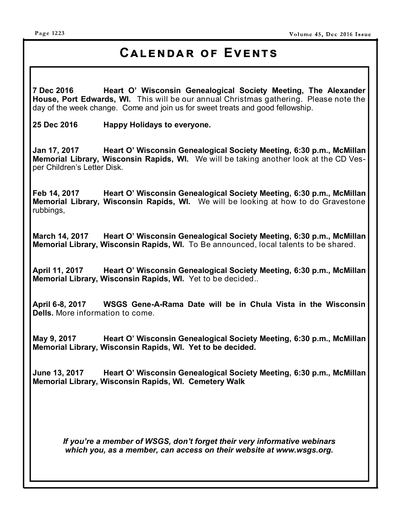# **CALENDAR OF EVENTS**

**7 Dec 2016 Heart O' Wisconsin Genealogical Society Meeting, The Alexander House, Port Edwards, WI.** This will be our annual Christmas gathering. Please note the day of the week change. Come and join us for sweet treats and good fellowship.

**25 Dec 2016 Happy Holidays to everyone.**

**Jan 17, 2017 Heart O' Wisconsin Genealogical Society Meeting, 6:30 p.m., McMillan Memorial Library, Wisconsin Rapids, WI.** We will be taking another look at the CD Vesper Children's Letter Disk.

**Feb 14, 2017 Heart O' Wisconsin Genealogical Society Meeting, 6:30 p.m., McMillan Memorial Library, Wisconsin Rapids, WI.** We will be looking at how to do Gravestone rubbings,

**March 14, 2017 Heart O' Wisconsin Genealogical Society Meeting, 6:30 p.m., McMillan Memorial Library, Wisconsin Rapids, WI.** To Be announced, local talents to be shared.

**April 11, 2017 Heart O' Wisconsin Genealogical Society Meeting, 6:30 p.m., McMillan Memorial Library, Wisconsin Rapids, WI.** Yet to be decided..

**April 6-8, 2017 WSGS Gene-A-Rama Date will be in Chula Vista in the Wisconsin Dells.** More information to come.

**May 9, 2017 Heart O' Wisconsin Genealogical Society Meeting, 6:30 p.m., McMillan Memorial Library, Wisconsin Rapids, WI. Yet to be decided.** 

**June 13, 2017 Heart O' Wisconsin Genealogical Society Meeting, 6:30 p.m., McMillan Memorial Library, Wisconsin Rapids, WI. Cemetery Walk** 

*If you're a member of WSGS, don't forget their very informative webinars which you, as a member, can access on their website at www.wsgs.org.*